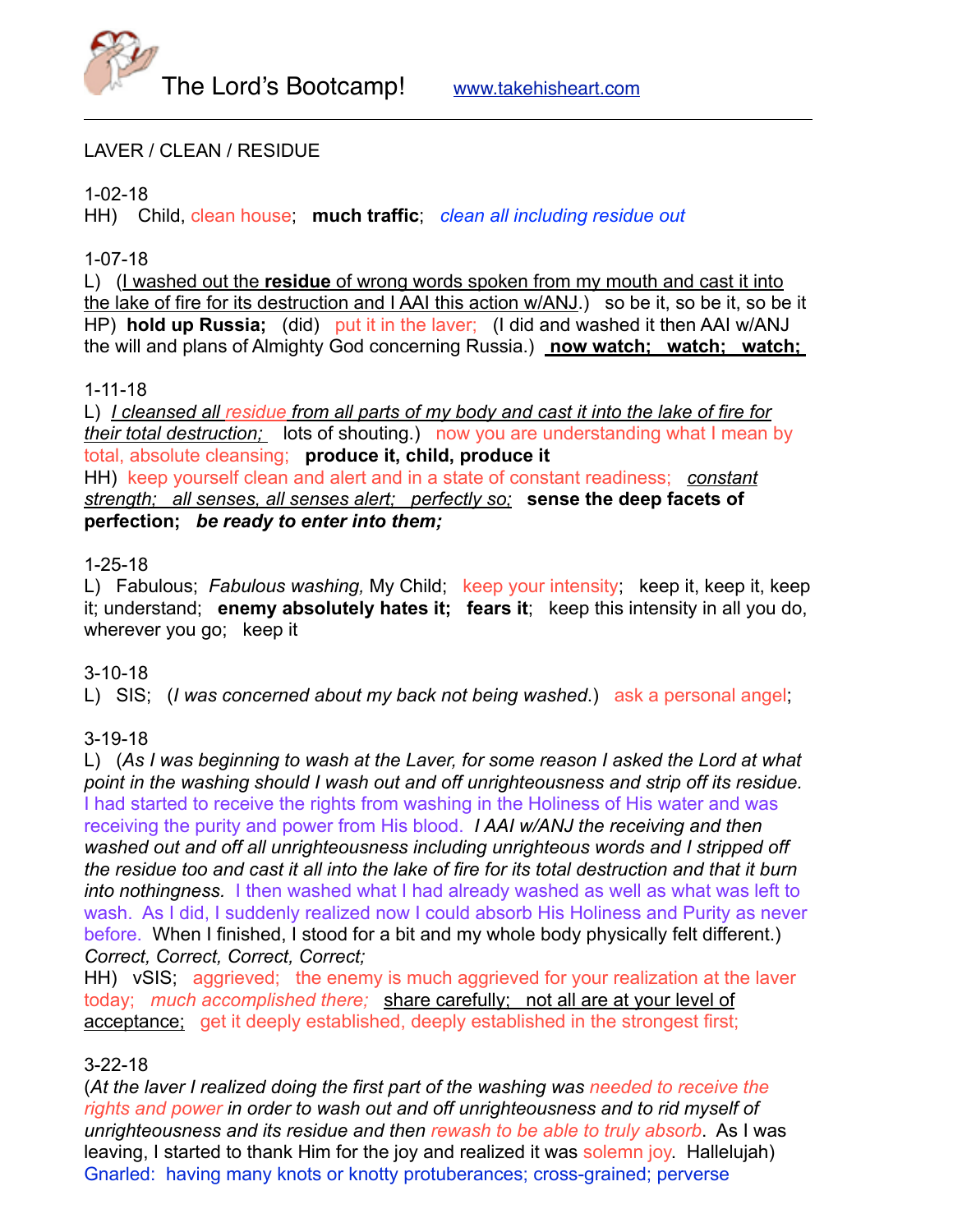

### LAVER / CLEAN / RESIDUE

### 1-02-18

HH) Child, clean house; **much traffic**; *clean all including residue out*

### 1-07-18

L) (I washed out the **residue** of wrong words spoken from my mouth and cast it into the lake of fire for its destruction and I AAI this action w/ANJ.) so be it, so be it, so be it HP) **hold up Russia;** (did) put it in the laver; (I did and washed it then AAI w/ANJ the will and plans of Almighty God concerning Russia.) **now watch; watch; watch;** 

### 1-11-18

L) *I cleansed all residue from all parts of my body and cast it into the lake of fire for their total destruction;* lots of shouting.) now you are understanding what I mean by total, absolute cleansing; **produce it, child, produce it** HH) keep yourself clean and alert and in a state of constant readiness; *constant strength; all senses, all senses alert; perfectly so;* **sense the deep facets of perfection;** *be ready to enter into them;*

#### 1-25-18

L) Fabulous; *Fabulous washing,* My Child; keep your intensity; keep it, keep it, keep it; understand; **enemy absolutely hates it; fears it**; keep this intensity in all you do, wherever you go; keep it

### 3-10-18

L) SIS; (*I was concerned about my back not being washed*.) ask a personal angel;

### 3-19-18

L) (*As I was beginning to wash at the Laver, for some reason I asked the Lord at what point in the washing should I wash out and off unrighteousness and strip off its residue.*  I had started to receive the rights from washing in the Holiness of His water and was receiving the purity and power from His blood. *I AAI w/ANJ the receiving and then washed out and off all unrighteousness including unrighteous words and I stripped off the residue too and cast it all into the lake of fire for its total destruction and that it burn into nothingness.* I then washed what I had already washed as well as what was left to wash. As I did, I suddenly realized now I could absorb His Holiness and Purity as never before. When I finished, I stood for a bit and my whole body physically felt different.) *Correct, Correct, Correct, Correct;*

HH) vSIS; aggrieved; the enemy is much aggrieved for your realization at the laver today; *much accomplished there;* share carefully; not all are at your level of acceptance; get it deeply established, deeply established in the strongest first;

### 3-22-18

(*At the laver I realized doing the first part of the washing was needed to receive the rights and power in order to wash out and off unrighteousness and to rid myself of unrighteousness and its residue and then rewash to be able to truly absorb*. As I was leaving, I started to thank Him for the joy and realized it was solemn joy. Hallelujah) Gnarled: having many knots or knotty protuberances; cross-grained; perverse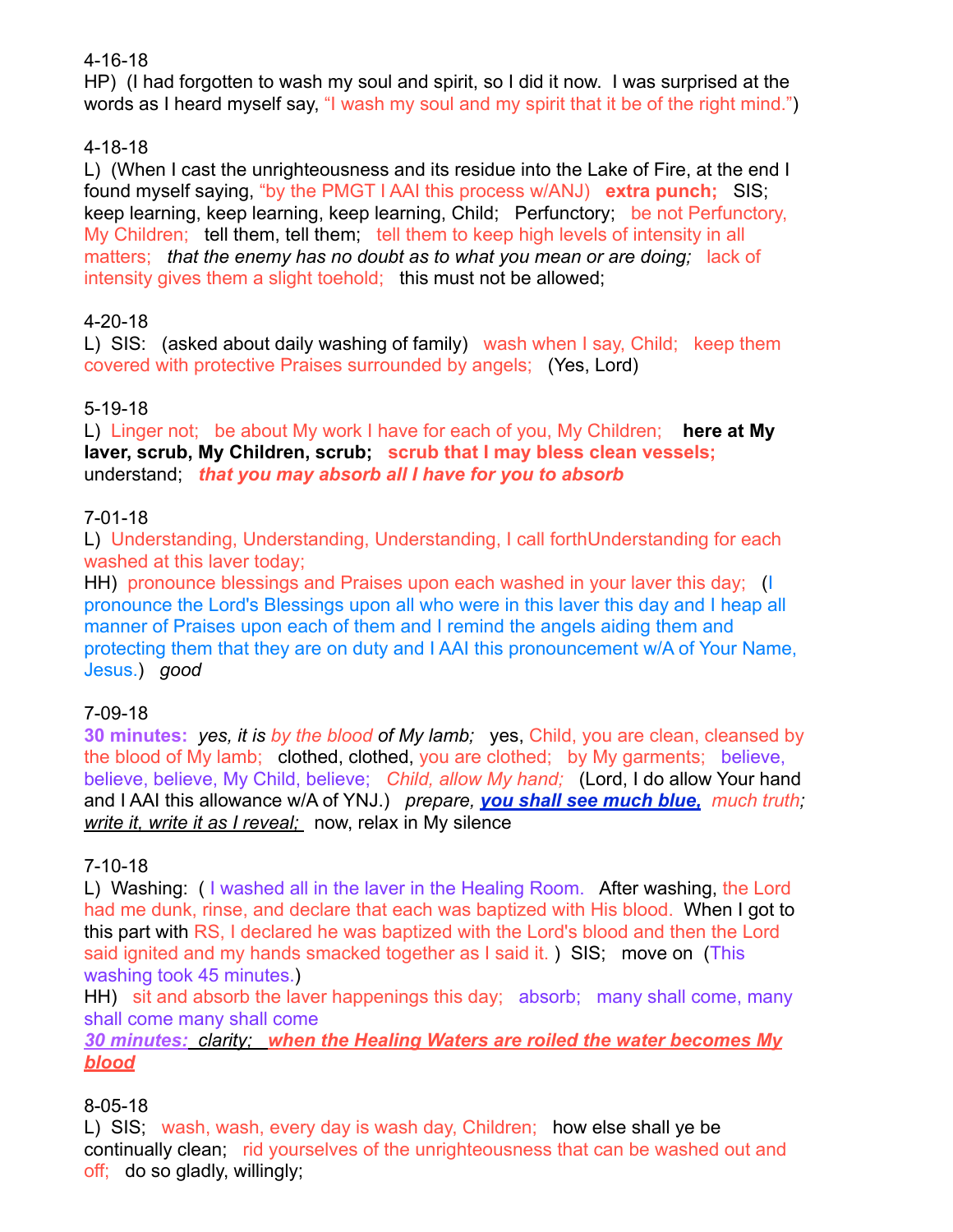### 4-16-18

HP) (I had forgotten to wash my soul and spirit, so I did it now. I was surprised at the words as I heard myself say, "I wash my soul and my spirit that it be of the right mind.")

# 4-18-18

L) (When I cast the unrighteousness and its residue into the Lake of Fire, at the end I found myself saying, "by the PMGT I AAI this process w/ANJ) **extra punch;** SIS; keep learning, keep learning, keep learning, Child; Perfunctory; be not Perfunctory, My Children; tell them, tell them; tell them to keep high levels of intensity in all matters; *that the enemy has no doubt as to what you mean or are doing;* lack of intensity gives them a slight toehold; this must not be allowed;

# 4-20-18

L) SIS: (asked about daily washing of family) wash when I say, Child; keep them covered with protective Praises surrounded by angels; (Yes, Lord)

# 5-19-18

L) Linger not; be about My work I have for each of you, My Children; **here at My laver, scrub, My Children, scrub; scrub that I may bless clean vessels;** understand; *that you may absorb all I have for you to absorb*

# 7-01-18

L) Understanding, Understanding, Understanding, I call forthUnderstanding for each washed at this laver today;

HH) pronounce blessings and Praises upon each washed in your laver this day; (I pronounce the Lord's Blessings upon all who were in this laver this day and I heap all manner of Praises upon each of them and I remind the angels aiding them and protecting them that they are on duty and I AAI this pronouncement w/A of Your Name, Jesus.) *good*

# 7-09-18

**30 minutes:** *yes, it is by the blood of My lamb;* yes, Child, you are clean, cleansed by the blood of My lamb; clothed, clothed, you are clothed; by My garments; believe, believe, believe, My Child, believe; *Child, allow My hand;* (Lord, I do allow Your hand and I AAI this allowance w/A of YNJ.) *prepare, you shall see much blue, much truth; write it, write it as I reveal;* now, relax in My silence

# 7-10-18

L) Washing: ( I washed all in the laver in the Healing Room. After washing, the Lord had me dunk, rinse, and declare that each was baptized with His blood. When I got to this part with RS, I declared he was baptized with the Lord's blood and then the Lord said ignited and my hands smacked together as I said it. ) SIS; move on (This washing took 45 minutes.)

HH) sit and absorb the laver happenings this day; absorb; many shall come, many shall come many shall come

*30 minutes: clarity; when the Healing Waters are roiled the water becomes My blood*

# 8-05-18

L) SIS; wash, wash, every day is wash day, Children; how else shall ye be continually clean; rid yourselves of the unrighteousness that can be washed out and off; do so gladly, willingly;